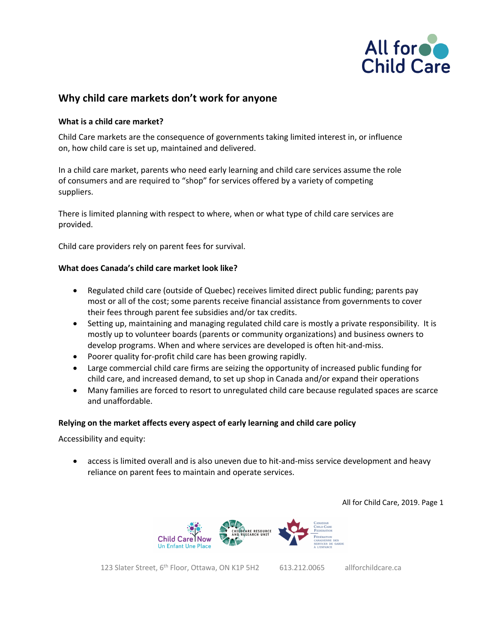

# **Why child care markets don't work for anyone**

## **What is a child care market?**

Child Care markets are the consequence of governments taking limited interest in, or influence on, how child care is set up, maintained and delivered.

In a child care market, parents who need early learning and child care services assume the role of consumers and are required to "shop" for services offered by a variety of competing suppliers.

There is limited planning with respect to where, when or what type of child care services are provided.

Child care providers rely on parent fees for survival.

## **What does Canada's child care market look like?**

- Regulated child care (outside of Quebec) receives limited direct public funding; parents pay most or all of the cost; some parents receive financial assistance from governments to cover their fees through parent fee subsidies and/or tax credits.
- Setting up, maintaining and managing regulated child care is mostly a private responsibility. It is mostly up to volunteer boards (parents or community organizations) and business owners to develop programs. When and where services are developed is often hit-and-miss.
- Poorer quality for-profit child care has been growing rapidly.
- Large commercial child care firms are seizing the opportunity of increased public funding for child care, and increased demand, to set up shop in Canada and/or expand their operations
- Many families are forced to resort to unregulated child care because regulated spaces are scarce and unaffordable.

## **Relying on the market affects every aspect of early learning and child care policy**

Accessibility and equity:

• access is limited overall and is also uneven due to hit-and-miss service development and heavy reliance on parent fees to maintain and operate services.

All for Child Care, 2019. Page 1



123 Slater Street, 6<sup>th</sup> Floor, Ottawa, ON K1P 5H2 613.212.0065 allforchildcare.ca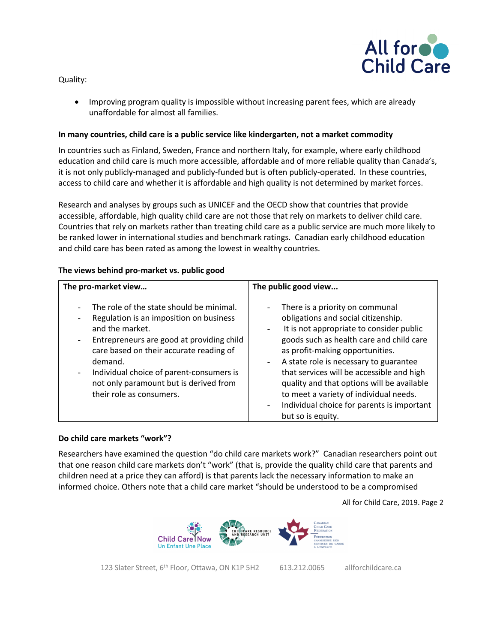Quality:



• Improving program quality is impossible without increasing parent fees, which are already unaffordable for almost all families.

## **In many countries, child care is a public service like kindergarten, not a market commodity**

In countries such as Finland, Sweden, France and northern Italy, for example, where early childhood education and child care is much more accessible, affordable and of more reliable quality than Canada's, it is not only publicly-managed and publicly-funded but is often publicly-operated. In these countries, access to child care and whether it is affordable and high quality is not determined by market forces.

Research and analyses by groups such as UNICEF and the OECD show that countries that provide accessible, affordable, high quality child care are not those that rely on markets to deliver child care. Countries that rely on markets rather than treating child care as a public service are much more likely to be ranked lower in international studies and benchmark ratings. Canadian early childhood education and child care has been rated as among the lowest in wealthy countries.

| The pro-market view                                                                                                                                                                                                                                                                                                                                                                                                           | The public good view                                                                                                                                                                                                                                                                                                                                                                                                                                                  |
|-------------------------------------------------------------------------------------------------------------------------------------------------------------------------------------------------------------------------------------------------------------------------------------------------------------------------------------------------------------------------------------------------------------------------------|-----------------------------------------------------------------------------------------------------------------------------------------------------------------------------------------------------------------------------------------------------------------------------------------------------------------------------------------------------------------------------------------------------------------------------------------------------------------------|
| The role of the state should be minimal.<br>÷,<br>Regulation is an imposition on business<br>$\qquad \qquad \blacksquare$<br>and the market.<br>Entrepreneurs are good at providing child<br>$\overline{\phantom{a}}$<br>care based on their accurate reading of<br>demand.<br>Individual choice of parent-consumers is<br>$\qquad \qquad \blacksquare$<br>not only paramount but is derived from<br>their role as consumers. | There is a priority on communal<br>obligations and social citizenship.<br>It is not appropriate to consider public<br>goods such as health care and child care<br>as profit-making opportunities.<br>A state role is necessary to guarantee<br>$\blacksquare$<br>that services will be accessible and high<br>quality and that options will be available<br>to meet a variety of individual needs.<br>Individual choice for parents is important<br>but so is equity. |

## **Do child care markets "work"?**

Researchers have examined the question "do child care markets work?" Canadian researchers point out that one reason child care markets don't "work" (that is, provide the quality child care that parents and children need at a price they can afford) is that parents lack the necessary information to make an informed choice. Others note that a child care market "should be understood to be a compromised

All for Child Care, 2019. Page 2



123 Slater Street, 6<sup>th</sup> Floor, Ottawa, ON K1P 5H2 613.212.0065 allforchildcare.ca